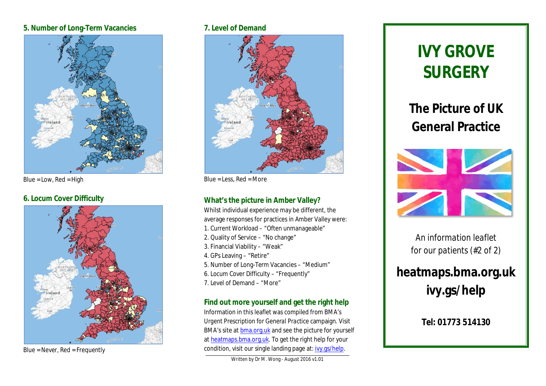#### **5. Number of Long-Term Vacancies**



Blue = Low, Red = High

# **6. Locum Cover Difficulty**



Blue = Never, Red = Frequently

#### **7. Level of Demand**



Blue = Less,  $Red = More$ 

# **What's the picture in Amber Valley?**

Whilst individual experience may be different, the average responses for practices in Amber Valley were:

- 1. Current Workload "Often unmanageable"
- 2. Quality of Service "No change"
- 3. Financial Viability "Weak"
- 4. GPs Leaving "Retire"
- 5. Number of Long-Term Vacancies "Medium"
- 6. Locum Cover Difficulty "Frequently"
- 7. Level of Demand "More"

# **Find out more yourself and get the right help**

Information in this leaflet was compiled from BMA's *Urgent Prescription for General Practice* campaign. Visit BMA's site at bma.org.uk and see the picture for yourself at heatmaps.bma.org.uk. To get the right help for your condition, visit our single landing page at: ivy.gs/help.

Written by Dr M. Wong - August 2016 v1.01

# **IVY GROVE SURGERY**

**The Picture of UK General Practice**



*An information leaflet for our patients (#2 of 2)*

# **heatmaps.bma.org.uk ivy.gs/help**

# **Tel: 01773 514130**